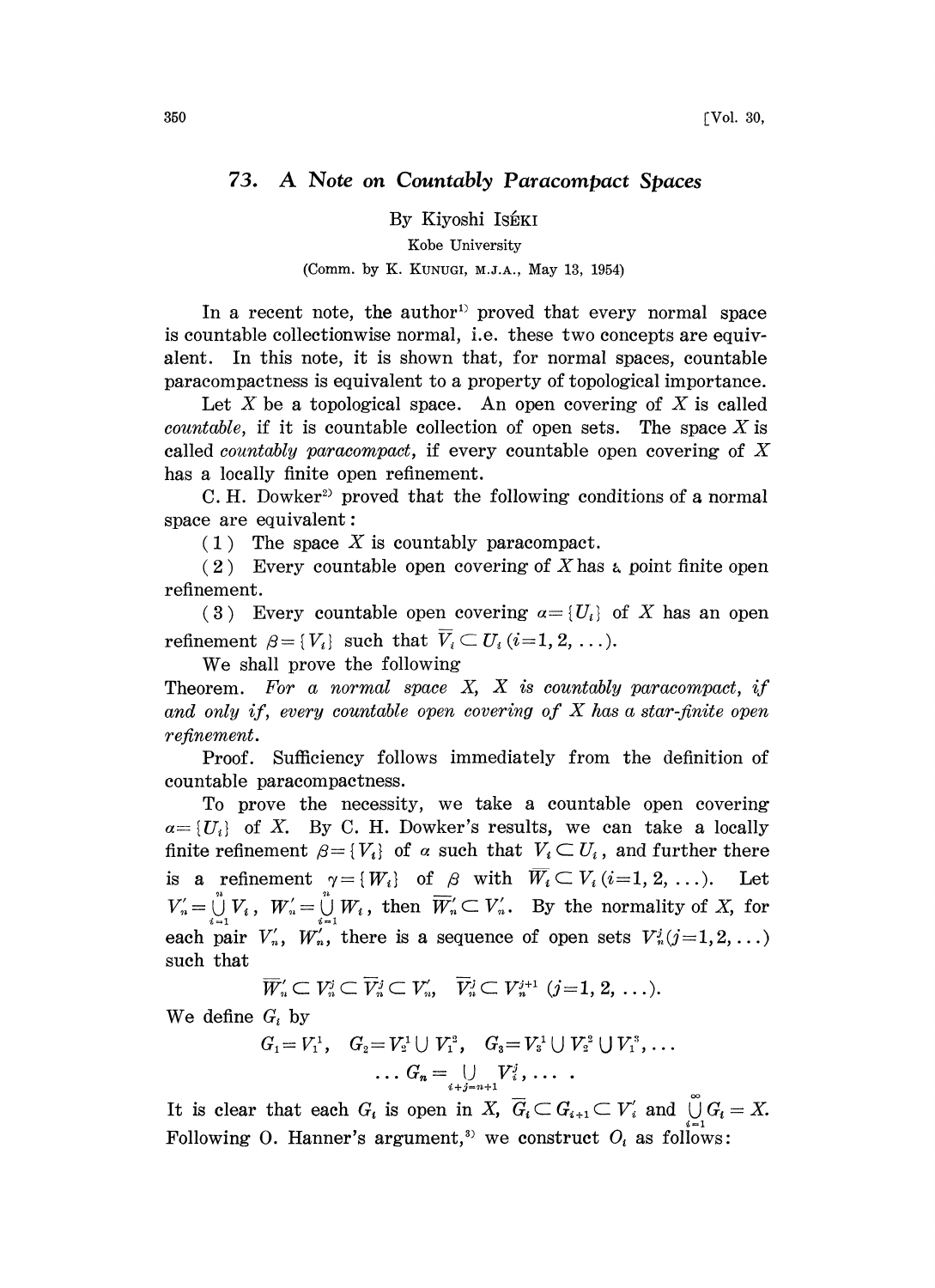## 73. A Note on Countably Paracompact Spaces

By Kiyoshi Kobe University (Comm. by K. KUNUG, M.Z.A., May 13, 1954)

In a recent note, the author<sup>1</sup> proved that every normal space is countable collectionwise normal, i.e. these two concepts are equivalent. In this note, it is shown that, for normal spaces, countable paracompactness is equivalent to a property of topological importance.

Let  $X$  be a topological space. An open covering of  $X$  is called *countable*, if it is countable collection of open sets. The space  $X$  is called countably paracompact, if every countable open covering of X has a locally finite open refinement.

C. H. Dowker<sup>2</sup> proved that the following conditions of a normal space are equivalent:

 $(1)$  The space X is countably paracompact.

(2) Every countable open covering of X has a point finite open refinement.

(3) Every countable open covering  $a = \{U_i\}$  of X has an open refinement  $\beta = \{V_i\}$  such that  $\overline{V}_i \subset U_i$  (*i*=1, 2, ...).

We shall prove the following

Theorem. For a normal space  $X$ ,  $X$  is countably paracompact, if and only if, every countable open covering of  $X$  has a star-finite open refinement.

Proof. Sufficiency follows immediately from the definition of countable paracompactness.

To prove the necessity, we take a countable open covering  $a=[U_i]$  of X. By C. H. Dowker's results, we can take a locally finite refinement  $\beta = \{V_i\}$  of  $\alpha$  such that  $V_i \subset U_i$ , and further there  $\beta = \{V_i\}$  of  $\alpha$  such that  $V_i \subset U_i$ , and further there<br>  $\gamma = \{W_i\}$  of  $\beta$  with  $\overline{W_i} \subset V_i$  (*i*=1, 2, ...). Let<br>  $\bigcup_{i=1}^n W_i$ , then  $\overline{W'_i} \subset V'_i$ . By the normality of X, for is a refinement  $\gamma = \{W_i\}$  of  $\beta$  with  $\overline{W_i} \subset V_i$  (*i*=1, 2, ...). Let  $V'_n = \bigcup_{i=1}^n V_i$ ,  $W'_n = \bigcup_{i=1}^n W_i$ , then  $\overline{W}'_n \subset V'_n$ . By the normality of X, for each pair  $V'_n$ ,  $W'_n$ , there is a sequence of open sets  $V_n^j$  (j=1,2, ...) such that

$$
\overline{W}_n' \subset V_n^j \subset \overline{V}_n^j \subset V_n', \quad \overline{V}_n^j \subset V_n^{j+1} \ (j=1, 2, \ \ldots).
$$

We define  $G_i$  by

$$
G_1 = V_1^1, \quad G_2 = V_2^1 \cup V_1^2, \quad G_3 = V_3^1 \cup V_2^2 \cup V_1^3, \ldots
$$

$$
\ldots G_n = \bigcup_{i+j=n+1} V_i^j, \, \ldots \, .
$$

It is clear that each  $G_i$  is open in X,  $\overline{G}_i \subset G_{i+1} \subset V'_i$  and  $\bigcup_{i=1}^{\infty} G_i = X$ . Following O. Hanner's argument,<sup>3)</sup> we construct  $O_i$  as follows: